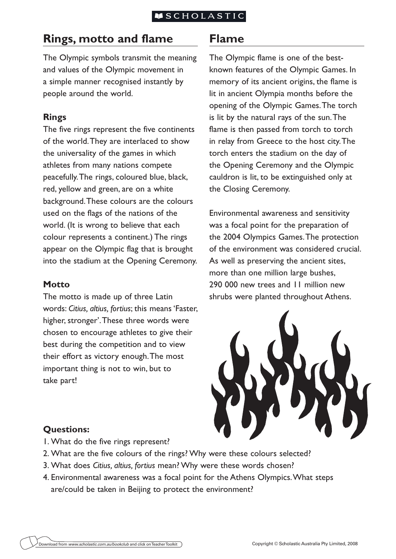### **ISCHOLASTIC**

# **Rings, motto and flame**

The Olympic symbols transmit the meaning and values of the Olympic movement in a simple manner recognised instantly by people around the world.

## **Rings**

The five rings represent the five continents of the world. They are interlaced to show the universality of the games in which athletes from many nations compete peacefully. The rings, coloured blue, black, red, yellow and green, are on a white background. These colours are the colours used on the flags of the nations of the world. (It is wrong to believe that each colour represents a continent.) The rings appear on the Olympic flag that is brought into the stadium at the Opening Ceremony.

### **Motto**

The motto is made up of three Latin words: *Citius, altius, fortius*; this means 'Faster, higher, stronger'. These three words were chosen to encourage athletes to give their best during the competition and to view their effort as victory enough. The most important thing is not to win, but to take part!

# **Flame**

The Olympic flame is one of the bestknown features of the Olympic Games. In memory of its ancient origins, the flame is lit in ancient Olympia months before the opening of the Olympic Games. The torch is lit by the natural rays of the sun. The flame is then passed from torch to torch in relay from Greece to the host city. The torch enters the stadium on the day of the Opening Ceremony and the Olympic cauldron is lit, to be extinguished only at the Closing Ceremony.

Environmental awareness and sensitivity was a focal point for the preparation of the 2004 Olympics Games. The protection of the environment was considered crucial. As well as preserving the ancient sites, more than one million large bushes, 290 000 new trees and 11 million new shrubs were planted throughout Athens.



# **Questions:**

- 1. What do the five rings represent?
- 2. What are the five colours of the rings? Why were these colours selected?
- 3. What does *Citius, altius, fortius* mean? Why were these words chosen?
- 4. Environmental awareness was a focal point for the Athens Olympics. What steps are/could be taken in Beijing to protect the environment?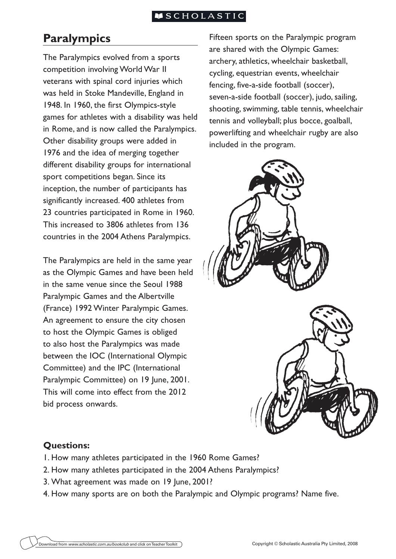### **ISCHOLASTIC**

# **Paralympics**

The Paralympics evolved from a sports competition involving World War II veterans with spinal cord injuries which was held in Stoke Mandeville, England in 1948. In 1960, the first Olympics-style games for athletes with a disability was held in Rome, and is now called the Paralympics. Other disability groups were added in 1976 and the idea of merging together different disability groups for international sport competitions began. Since its inception, the number of participants has significantly increased. 400 athletes from 23 countries participated in Rome in 1960. This increased to 3806 athletes from 136 countries in the 2004 Athens Paralympics.

The Paralympics are held in the same year as the Olympic Games and have been held in the same venue since the Seoul 1988 Paralympic Games and the Albertville (France) 1992 Winter Paralympic Games. An agreement to ensure the city chosen to host the Olympic Games is obliged to also host the Paralympics was made between the IOC (International Olympic Committee) and the IPC (International Paralympic Committee) on 19 June, 2001. This will come into effect from the 2012 bid process onwards.

Fifteen sports on the Paralympic program are shared with the Olympic Games: archery, athletics, wheelchair basketball, cycling, equestrian events, wheelchair fencing, five-a-side football (soccer), seven-a-side football (soccer), judo, sailing, shooting, swimming, table tennis, wheelchair tennis and volleyball; plus bocce, goalball, powerlifting and wheelchair rugby are also included in the program.



## **Questions:**

- 1. How many athletes participated in the 1960 Rome Games?
- 2. How many athletes participated in the 2004 Athens Paralympics?
- 3. What agreement was made on 19 June, 2001?
- 4. How many sports are on both the Paralympic and Olympic programs? Name five.